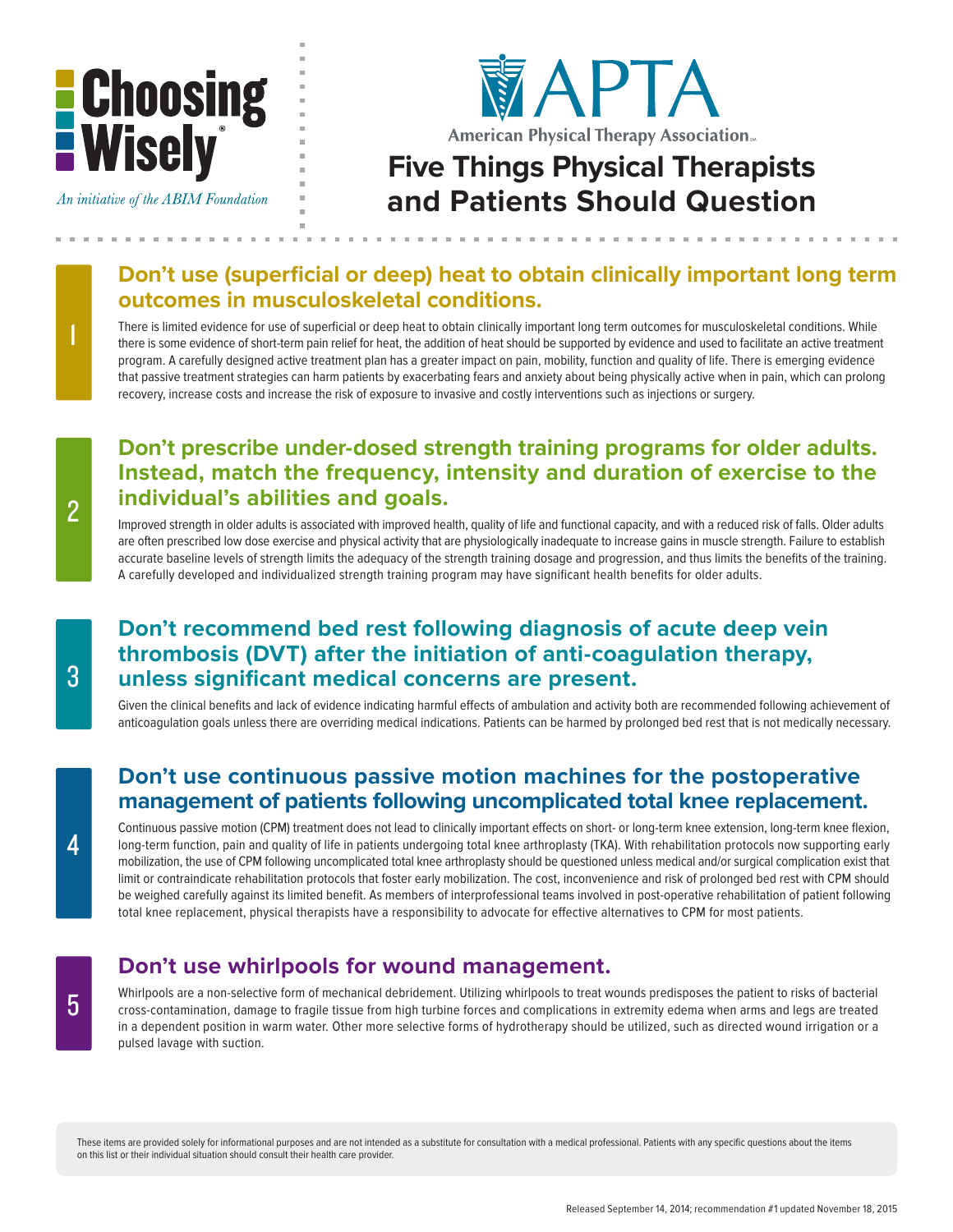

An initiative of the ABIM Foundation



# **Five Things Physical Therapists and Patients Should Question**

### **Don't use (superficial or deep) heat to obtain clinically important long term outcomes in musculoskeletal conditions.**

There is limited evidence for use of superficial or deep heat to obtain clinically important long term outcomes for musculoskeletal conditions. While there is some evidence of short-term pain relief for heat, the addition of heat should be supported by evidence and used to facilitate an active treatment program. A carefully designed active treatment plan has a greater impact on pain, mobility, function and quality of life. There is emerging evidence that passive treatment strategies can harm patients by exacerbating fears and anxiety about being physically active when in pain, which can prolong recovery, increase costs and increase the risk of exposure to invasive and costly interventions such as injections or surgery.

# **Don't prescribe under-dosed strength training programs for older adults. Instead, match the frequency, intensity and duration of exercise to the individual's abilities and goals.**

Improved strength in older adults is associated with improved health, quality of life and functional capacity, and with a reduced risk of falls. Older adults are often prescribed low dose exercise and physical activity that are physiologically inadequate to increase gains in muscle strength. Failure to establish accurate baseline levels of strength limits the adequacy of the strength training dosage and progression, and thus limits the benefits of the training. A carefully developed and individualized strength training program may have significant health benefits for older adults.

# **Don't recommend bed rest following diagnosis of acute deep vein thrombosis (DVT) after the initiation of anti-coagulation therapy, unless significant medical concerns are present.**

Given the clinical benefits and lack of evidence indicating harmful effects of ambulation and activity both are recommended following achievement of anticoagulation goals unless there are overriding medical indications. Patients can be harmed by prolonged bed rest that is not medically necessary.

### **Don't use continuous passive motion machines for the postoperative management of patients following uncomplicated total knee replacement.**

Continuous passive motion (CPM) treatment does not lead to clinically important effects on short- or long-term knee extension, long-term knee flexion, long-term function, pain and quality of life in patients undergoing total knee arthroplasty (TKA). With rehabilitation protocols now supporting early mobilization, the use of CPM following uncomplicated total knee arthroplasty should be questioned unless medical and/or surgical complication exist that limit or contraindicate rehabilitation protocols that foster early mobilization. The cost, inconvenience and risk of prolonged bed rest with CPM should be weighed carefully against its limited benefit. As members of interprofessional teams involved in post-operative rehabilitation of patient following total knee replacement, physical therapists have a responsibility to advocate for effective alternatives to CPM for most patients.

# **Don't use whirlpools for wound management.**

Whirlpools are a non-selective form of mechanical debridement. Utilizing whirlpools to treat wounds predisposes the patient to risks of bacterial cross-contamination, damage to fragile tissue from high turbine forces and complications in extremity edema when arms and legs are treated in a dependent position in warm water. Other more selective forms of hydrotherapy should be utilized, such as directed wound irrigation or a pulsed lavage with suction.

These items are provided solely for informational purposes and are not intended as a substitute for consultation with a medical professional. Patients with any specific questions about the items on this list or their individual situation should consult their health care provider.

1

5